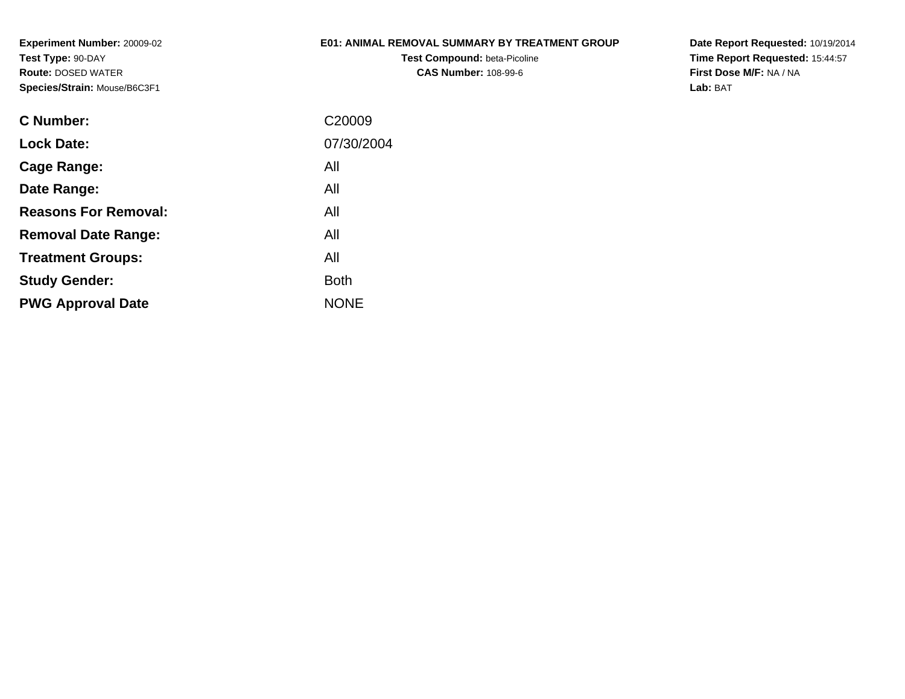# **E01: ANIMAL REMOVAL SUMMARY BY TREATMENT GROUP**

**Test Compound:** beta-Picoline**CAS Number:** 108-99-6

**Date Report Requested:** 10/19/2014 **Time Report Requested:** 15:44:57**First Dose M/F:** NA / NA**Lab:** BAT

| C Number:                   | C <sub>20009</sub> |
|-----------------------------|--------------------|
| <b>Lock Date:</b>           | 07/30/2004         |
| Cage Range:                 | All                |
| Date Range:                 | All                |
| <b>Reasons For Removal:</b> | All                |
| <b>Removal Date Range:</b>  | All                |
| <b>Treatment Groups:</b>    | All                |
| <b>Study Gender:</b>        | <b>Both</b>        |
| <b>PWG Approval Date</b>    | <b>NONE</b>        |
|                             |                    |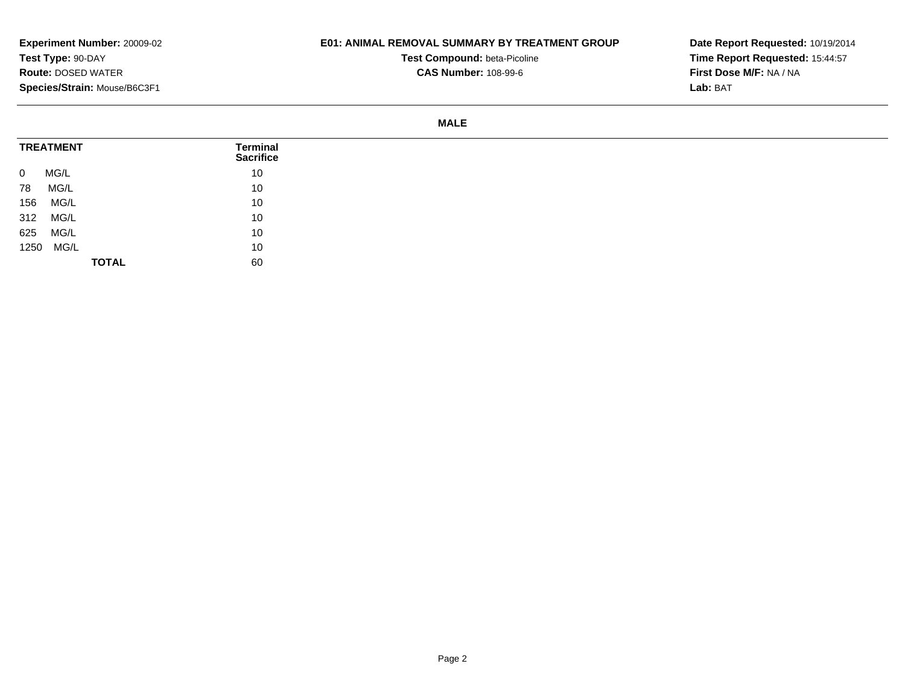### **E01: ANIMAL REMOVAL SUMMARY BY TREATMENT GROUP**

**Test Compound:** beta-Picoline**CAS Number:** 108-99-6

**Date Report Requested:** 10/19/2014**Time Report Requested:** 15:44:57**First Dose M/F:** NA / NA**Lab:** BAT

#### **MALE**

| <b>TREATMENT</b>       | <b>Terminal</b><br><b>Sacrifice</b> |
|------------------------|-------------------------------------|
| MG/L<br>$\overline{0}$ | 10                                  |
| MG/L<br>78             | 10                                  |
| 156<br>MG/L            | 10                                  |
| 312 MG/L               | 10                                  |
| MG/L<br>625            | 10                                  |
| 1250 MG/L              | 10                                  |
| <b>TOTAL</b>           | 60                                  |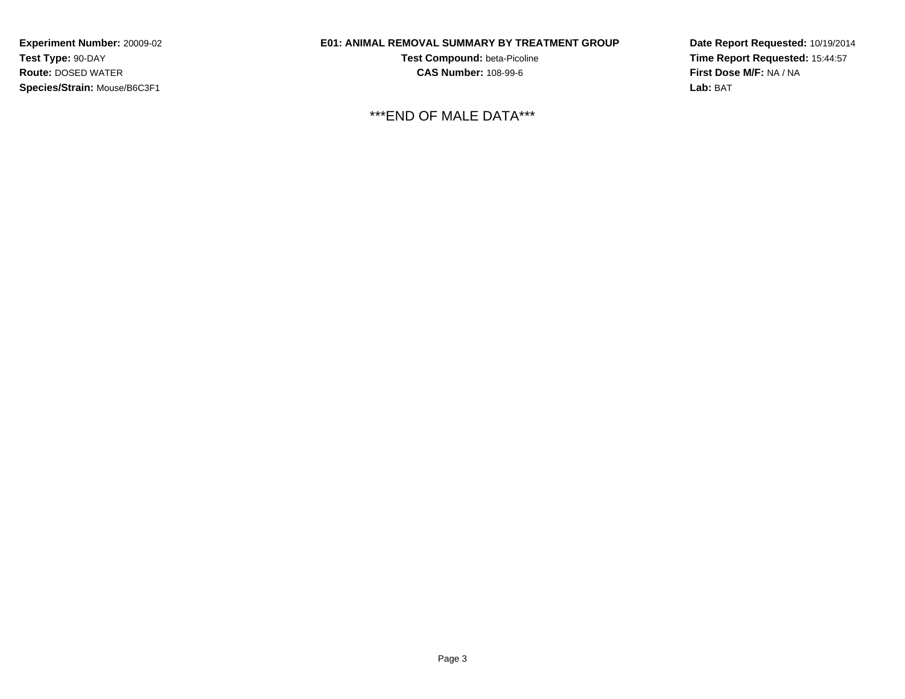# **E01: ANIMAL REMOVAL SUMMARY BY TREATMENT GROUP**

**Test Compound:** beta-Picoline**CAS Number:** 108-99-6

\*\*\*END OF MALE DATA\*\*\*

**Date Report Requested:** 10/19/2014**Time Report Requested:** 15:44:57**First Dose M/F:** NA / NA**Lab:** BAT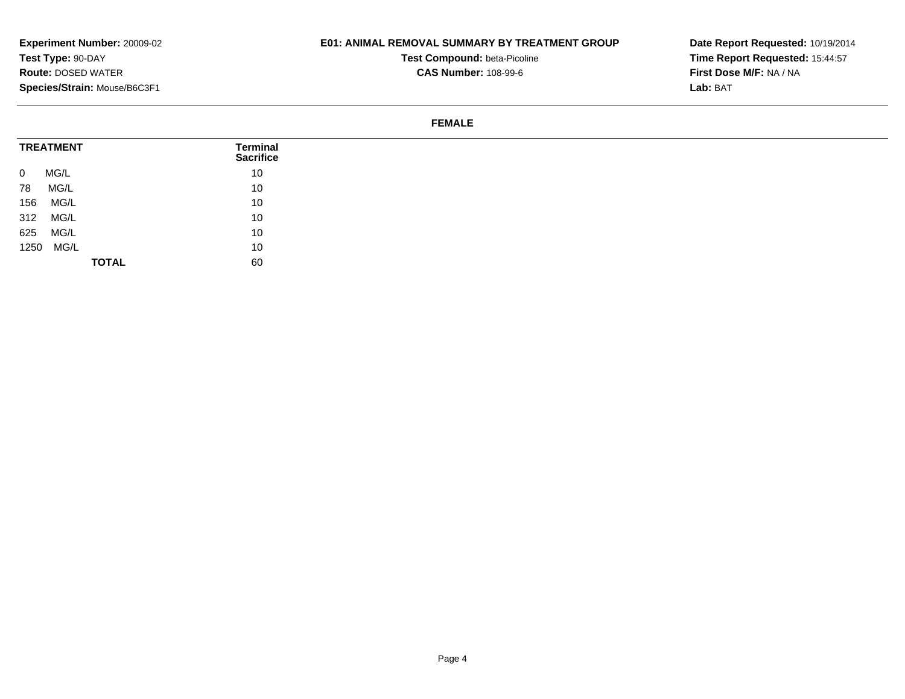## **E01: ANIMAL REMOVAL SUMMARY BY TREATMENT GROUP**

**Test Compound:** beta-Picoline**CAS Number:** 108-99-6

**Date Report Requested:** 10/19/2014**Time Report Requested:** 15:44:57**First Dose M/F:** NA / NA**Lab:** BAT

#### **FEMALE**

| <b>TREATMENT</b>       | <b>Terminal</b><br><b>Sacrifice</b> |
|------------------------|-------------------------------------|
| MG/L<br>$\overline{0}$ | 10                                  |
| MG/L<br>78             | 10                                  |
| MG/L<br>156            | 10                                  |
| 312<br>MG/L            | 10                                  |
| MG/L<br>625            | 10                                  |
| 1250 MG/L              | 10                                  |
| <b>TOTAL</b>           | 60                                  |